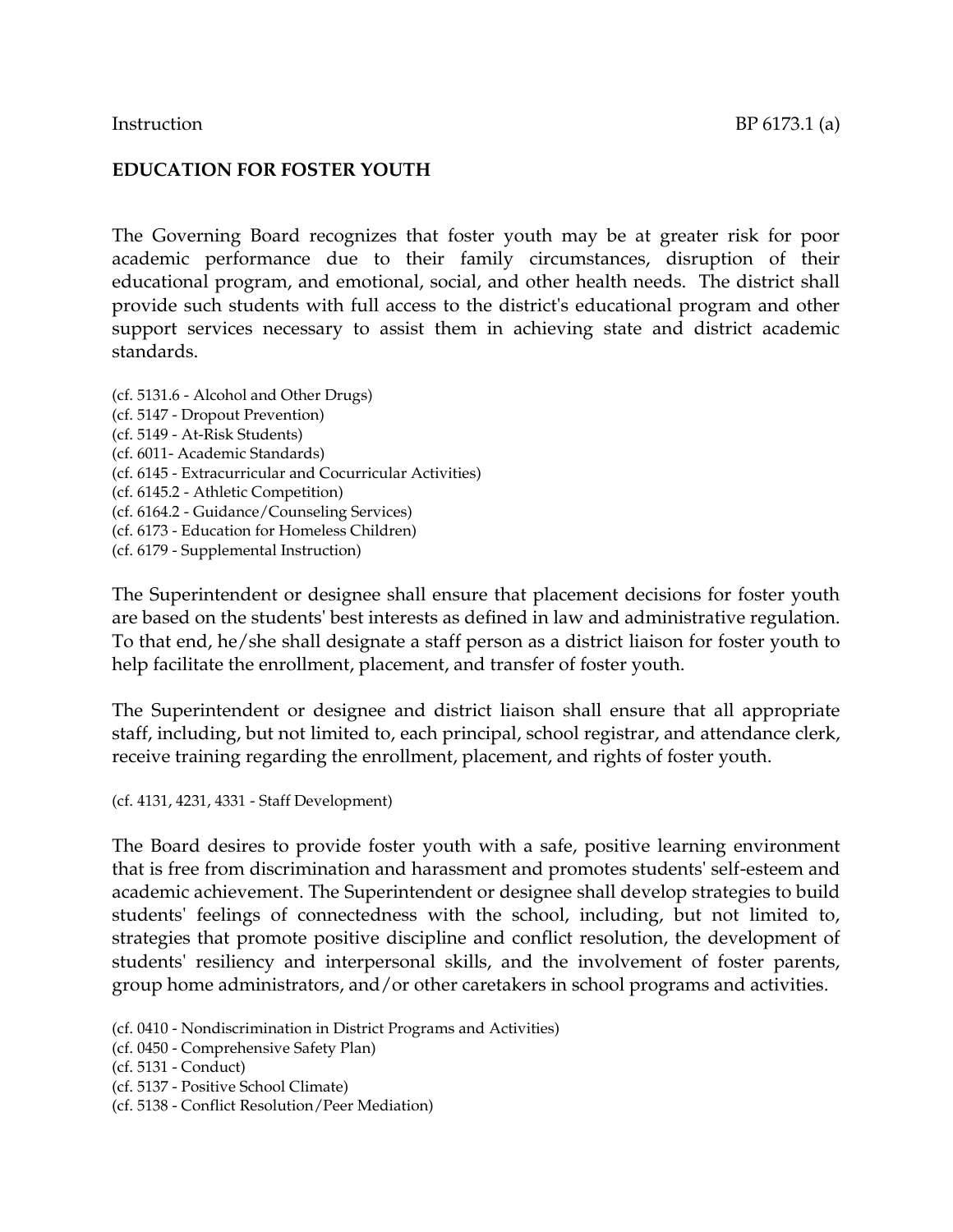#### **EDUCATION FOR FOSTER YOUTH**

The Governing Board recognizes that foster youth may be at greater risk for poor academic performance due to their family circumstances, disruption of their educational program, and emotional, social, and other health needs. The district shall provide such students with full access to the district's educational program and other support services necessary to assist them in achieving state and district academic standards.

(cf. 5131.6 - Alcohol and Other Drugs) (cf. 5147 - Dropout Prevention) (cf. 5149 - At-Risk Students) (cf. 6011- Academic Standards) (cf. 6145 - Extracurricular and Cocurricular Activities) (cf. 6145.2 - Athletic Competition) (cf. 6164.2 - Guidance/Counseling Services) (cf. 6173 - Education for Homeless Children) (cf. 6179 - Supplemental Instruction)

The Superintendent or designee shall ensure that placement decisions for foster youth are based on the students' best interests as defined in law and administrative regulation. To that end, he/she shall designate a staff person as a district liaison for foster youth to help facilitate the enrollment, placement, and transfer of foster youth.

The Superintendent or designee and district liaison shall ensure that all appropriate staff, including, but not limited to, each principal, school registrar, and attendance clerk, receive training regarding the enrollment, placement, and rights of foster youth.

(cf. 4131, 4231, 4331 - Staff Development)

The Board desires to provide foster youth with a safe, positive learning environment that is free from discrimination and harassment and promotes students' self-esteem and academic achievement. The Superintendent or designee shall develop strategies to build students' feelings of connectedness with the school, including, but not limited to, strategies that promote positive discipline and conflict resolution, the development of students' resiliency and interpersonal skills, and the involvement of foster parents, group home administrators, and/or other caretakers in school programs and activities.

(cf. 0410 - Nondiscrimination in District Programs and Activities)

(cf. 0450 - Comprehensive Safety Plan)

(cf. 5131 - Conduct)

- (cf. 5137 Positive School Climate)
- (cf. 5138 Conflict Resolution/Peer Mediation)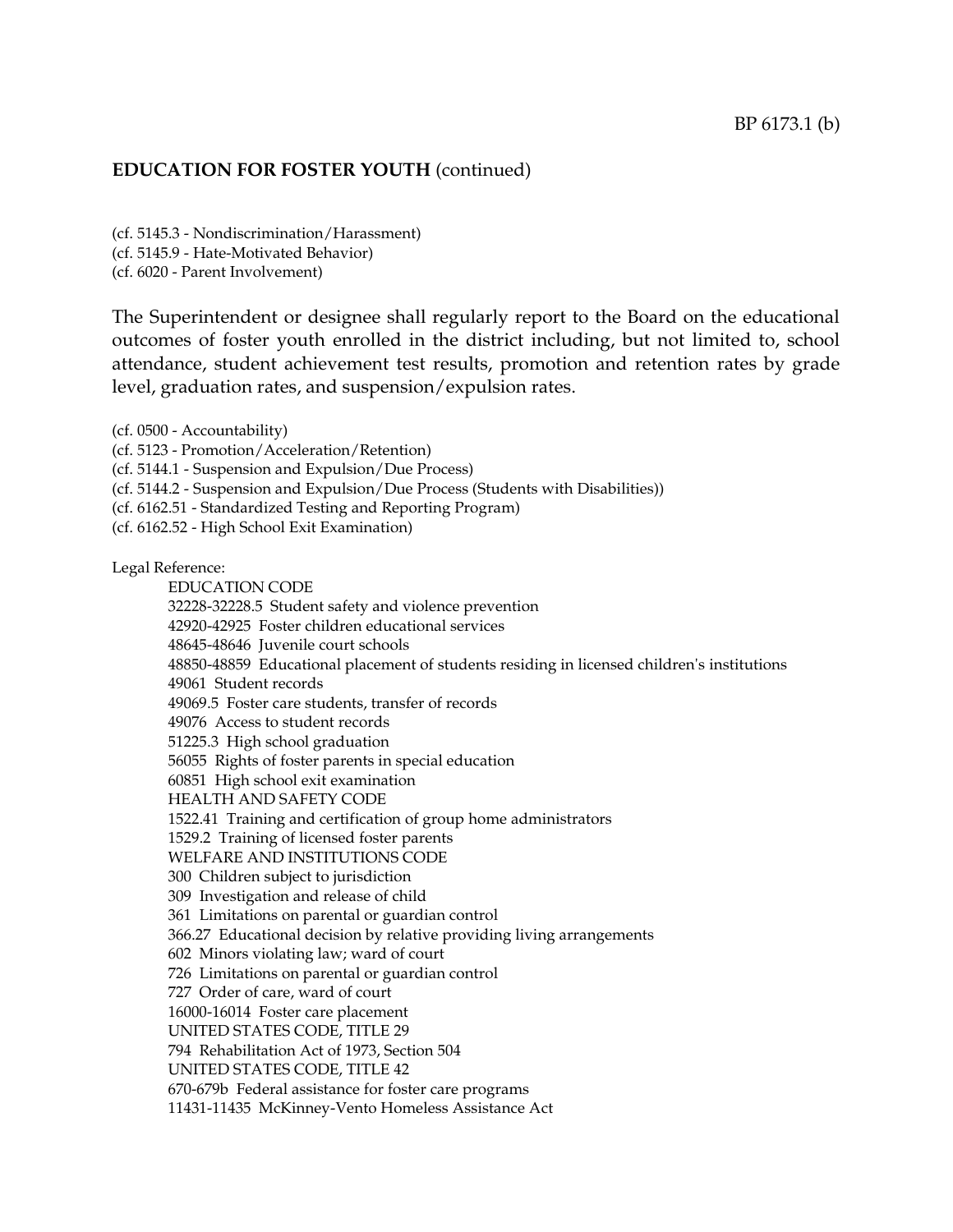(cf. 5145.3 - Nondiscrimination/Harassment) (cf. 5145.9 - Hate-Motivated Behavior) (cf. 6020 - Parent Involvement)

The Superintendent or designee shall regularly report to the Board on the educational outcomes of foster youth enrolled in the district including, but not limited to, school attendance, student achievement test results, promotion and retention rates by grade level, graduation rates, and suspension/expulsion rates.

(cf. 0500 - Accountability) (cf. 5123 - Promotion/Acceleration/Retention) (cf. 5144.1 - Suspension and Expulsion/Due Process) (cf. 5144.2 - Suspension and Expulsion/Due Process (Students with Disabilities)) (cf. 6162.51 - Standardized Testing and Reporting Program) (cf. 6162.52 - High School Exit Examination) Legal Reference: EDUCATION CODE 32228-32228.5 Student safety and violence prevention 42920-42925 Foster children educational services 48645-48646 Juvenile court schools 48850-48859 Educational placement of students residing in licensed children's institutions 49061 Student records 49069.5 Foster care students, transfer of records 49076 Access to student records 51225.3 High school graduation 56055 Rights of foster parents in special education 60851 High school exit examination HEALTH AND SAFETY CODE 1522.41 Training and certification of group home administrators 1529.2 Training of licensed foster parents WELFARE AND INSTITUTIONS CODE 300 Children subject to jurisdiction 309 Investigation and release of child 361 Limitations on parental or guardian control 366.27 Educational decision by relative providing living arrangements 602 Minors violating law; ward of court 726 Limitations on parental or guardian control 727 Order of care, ward of court 16000-16014 Foster care placement UNITED STATES CODE, TITLE 29 794 Rehabilitation Act of 1973, Section 504 UNITED STATES CODE, TITLE 42 670-679b Federal assistance for foster care programs 11431-11435 McKinney-Vento Homeless Assistance Act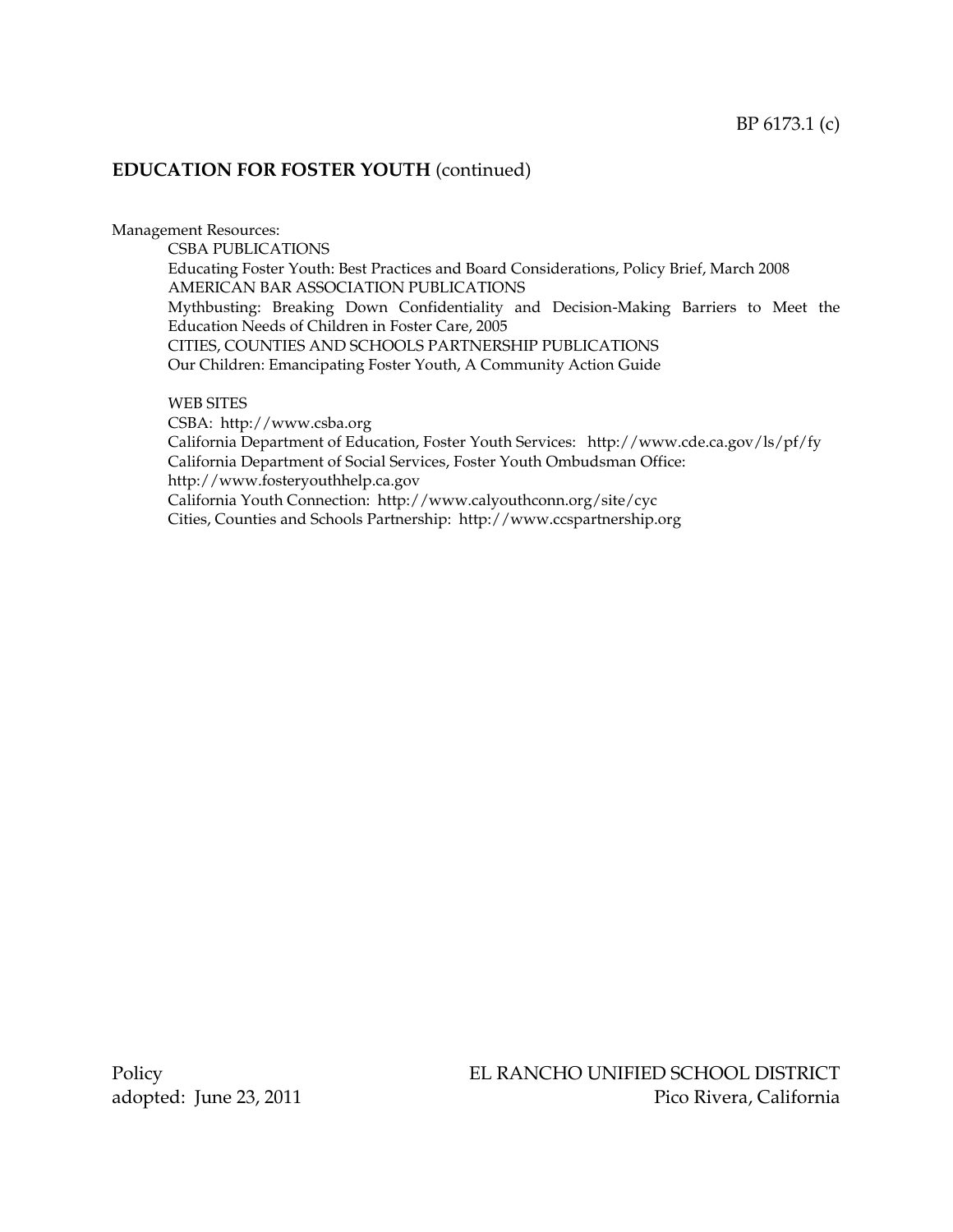Management Resources:

CSBA PUBLICATIONS Educating Foster Youth: Best Practices and Board Considerations, Policy Brief, March 2008 AMERICAN BAR ASSOCIATION PUBLICATIONS Mythbusting: Breaking Down Confidentiality and Decision-Making Barriers to Meet the Education Needs of Children in Foster Care, 2005 CITIES, COUNTIES AND SCHOOLS PARTNERSHIP PUBLICATIONS Our Children: Emancipating Foster Youth, A Community Action Guide

WEB SITES

CSBA: http://www.csba.org California Department of Education, Foster Youth Services: http://www.cde.ca.gov/ls/pf/fy California Department of Social Services, Foster Youth Ombudsman Office: http://www.fosteryouthhelp.ca.gov California Youth Connection: http://www.calyouthconn.org/site/cyc Cities, Counties and Schools Partnership: [http://www.ccspartnership.org](http://www.ccspartnership.org/)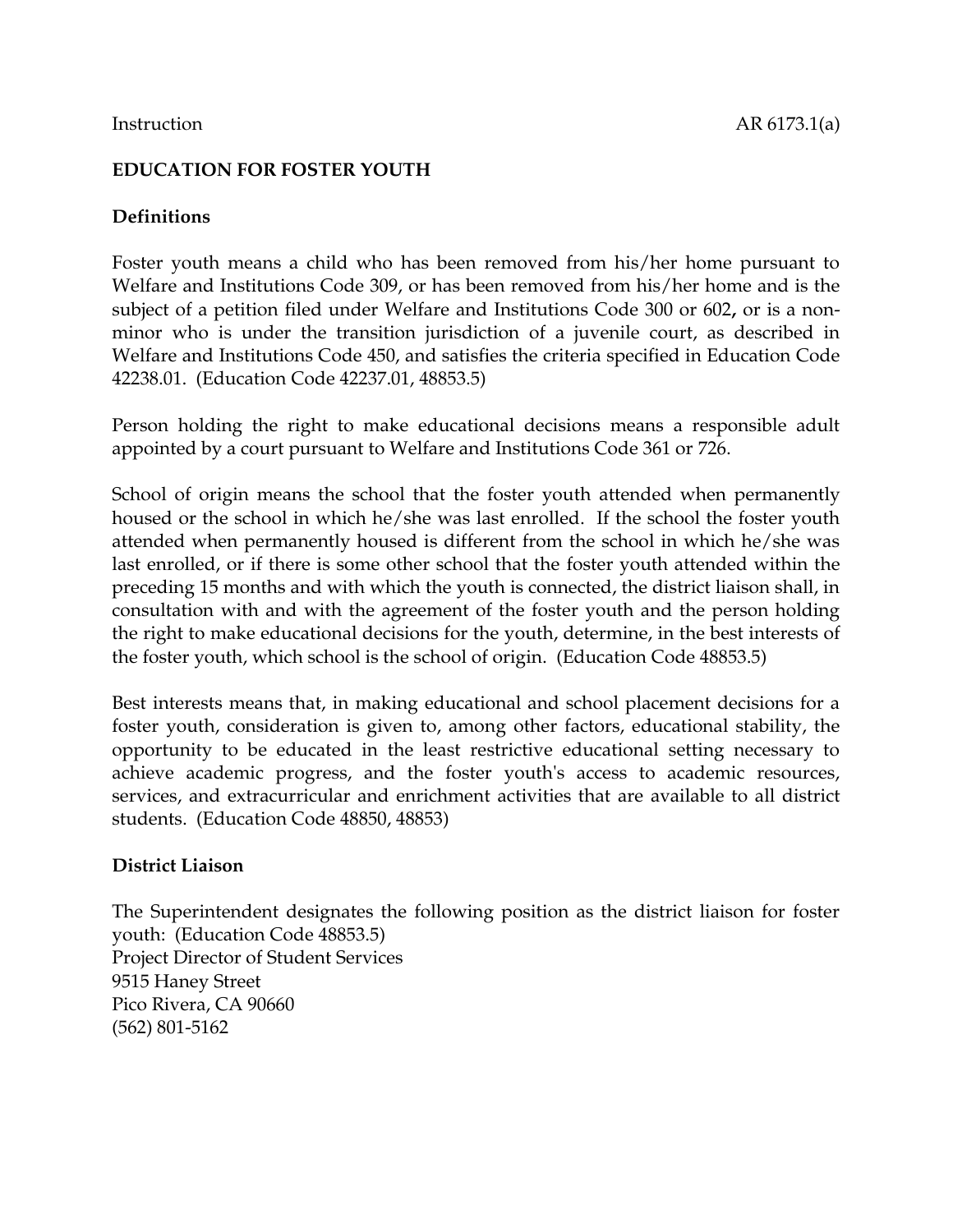# **EDUCATION FOR FOSTER YOUTH**

## **Definitions**

Foster youth means a child who has been removed from his/her home pursuant to Welfare and Institutions Code 309, or has been removed from his/her home and is the subject of a petition filed under Welfare and Institutions Code 300 or 602**,** or is a nonminor who is under the transition jurisdiction of a juvenile court, as described in Welfare and Institutions Code 450, and satisfies the criteria specified in Education Code 42238.01. (Education Code 42237.01, 48853.5)

Person holding the right to make educational decisions means a responsible adult appointed by a court pursuant to Welfare and Institutions Code 361 or 726.

School of origin means the school that the foster youth attended when permanently housed or the school in which he/she was last enrolled. If the school the foster youth attended when permanently housed is different from the school in which he/she was last enrolled, or if there is some other school that the foster youth attended within the preceding 15 months and with which the youth is connected, the district liaison shall, in consultation with and with the agreement of the foster youth and the person holding the right to make educational decisions for the youth, determine, in the best interests of the foster youth, which school is the school of origin. (Education Code 48853.5)

Best interests means that, in making educational and school placement decisions for a foster youth, consideration is given to, among other factors, educational stability, the opportunity to be educated in the least restrictive educational setting necessary to achieve academic progress, and the foster youth's access to academic resources, services, and extracurricular and enrichment activities that are available to all district students. (Education Code 48850, 48853)

#### **District Liaison**

The Superintendent designates the following position as the district liaison for foster youth: (Education Code 48853.5) Project Director of Student Services 9515 Haney Street Pico Rivera, CA 90660 (562) 801-5162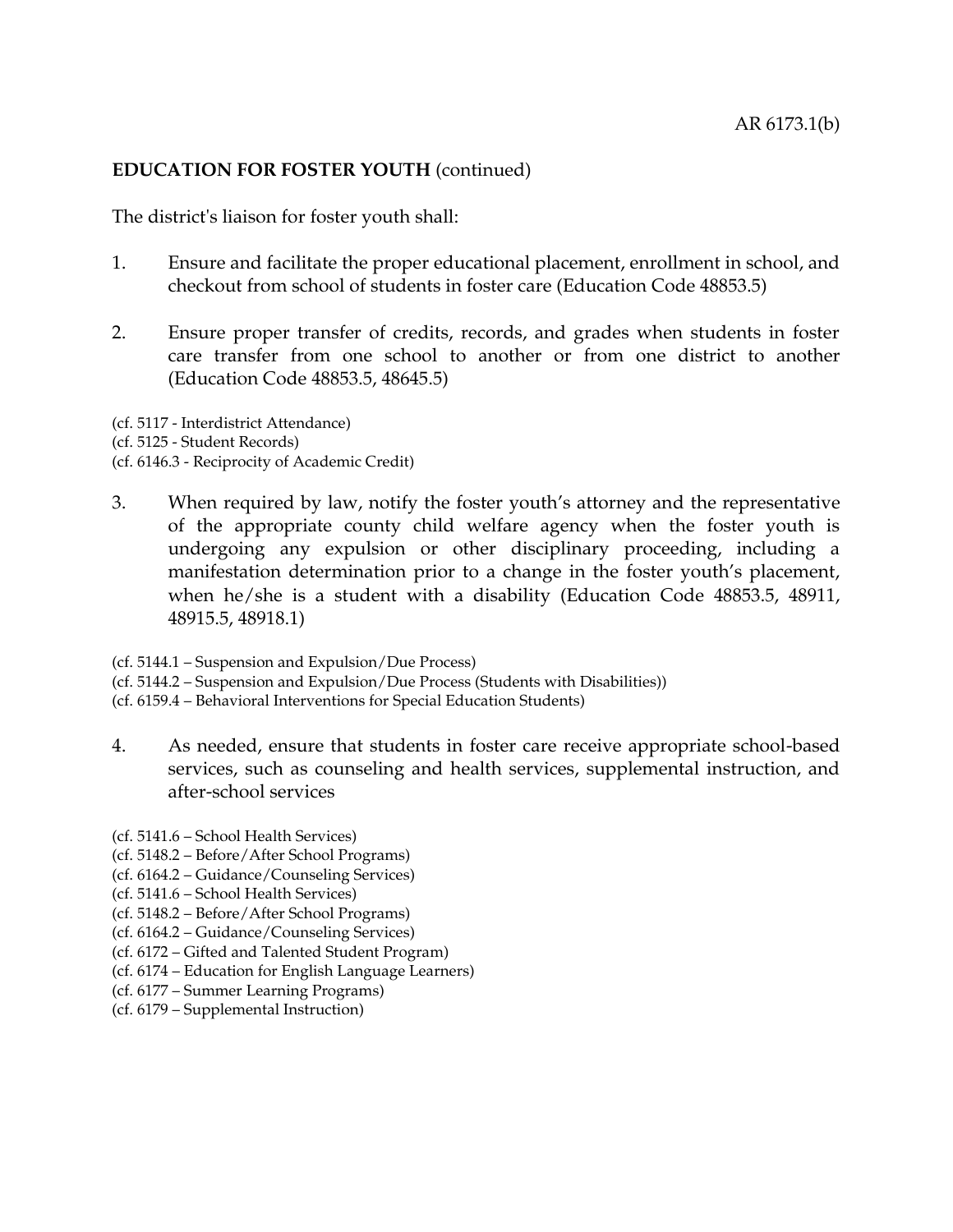The district's liaison for foster youth shall:

- 1. Ensure and facilitate the proper educational placement, enrollment in school, and checkout from school of students in foster care (Education Code 48853.5)
- 2. Ensure proper transfer of credits, records, and grades when students in foster care transfer from one school to another or from one district to another (Education Code 48853.5, 48645.5)

(cf. 5117 - Interdistrict Attendance) (cf. 5125 - Student Records) (cf. 6146.3 - Reciprocity of Academic Credit)

- 3. When required by law, notify the foster youth's attorney and the representative of the appropriate county child welfare agency when the foster youth is undergoing any expulsion or other disciplinary proceeding, including a manifestation determination prior to a change in the foster youth's placement, when he/she is a student with a disability (Education Code 48853.5, 48911, 48915.5, 48918.1)
- (cf. 5144.1 Suspension and Expulsion/Due Process)
- (cf. 5144.2 Suspension and Expulsion/Due Process (Students with Disabilities))
- (cf. 6159.4 Behavioral Interventions for Special Education Students)
- 4. As needed, ensure that students in foster care receive appropriate school-based services, such as counseling and health services, supplemental instruction, and after-school services
- (cf. 5141.6 School Health Services)
- (cf. 5148.2 Before/After School Programs)
- (cf. 6164.2 Guidance/Counseling Services)
- (cf. 5141.6 School Health Services)
- (cf. 5148.2 Before/After School Programs)
- (cf. 6164.2 Guidance/Counseling Services)
- (cf. 6172 Gifted and Talented Student Program)
- (cf. 6174 Education for English Language Learners)
- (cf. 6177 Summer Learning Programs)
- (cf. 6179 Supplemental Instruction)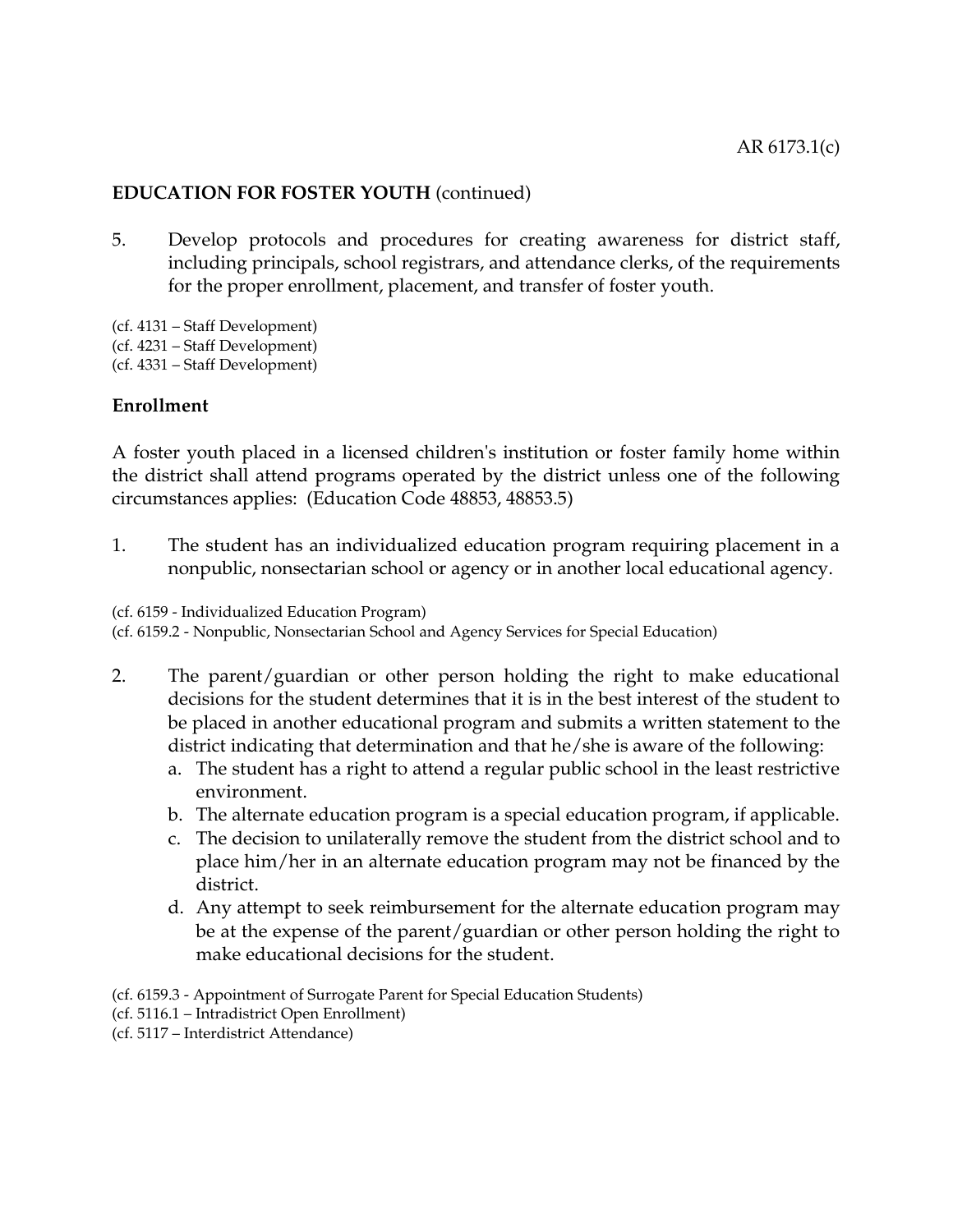5. Develop protocols and procedures for creating awareness for district staff, including principals, school registrars, and attendance clerks, of the requirements for the proper enrollment, placement, and transfer of foster youth.

(cf. 4131 – Staff Development) (cf. 4231 – Staff Development) (cf. 4331 – Staff Development)

#### **Enrollment**

A foster youth placed in a licensed children's institution or foster family home within the district shall attend programs operated by the district unless one of the following circumstances applies: (Education Code 48853, 48853.5)

1. The student has an individualized education program requiring placement in a nonpublic, nonsectarian school or agency or in another local educational agency.

(cf. 6159 - Individualized Education Program)

(cf. 6159.2 - Nonpublic, Nonsectarian School and Agency Services for Special Education)

- 2. The parent/guardian or other person holding the right to make educational decisions for the student determines that it is in the best interest of the student to be placed in another educational program and submits a written statement to the district indicating that determination and that he/she is aware of the following:
	- a. The student has a right to attend a regular public school in the least restrictive environment.
	- b. The alternate education program is a special education program, if applicable.
	- c. The decision to unilaterally remove the student from the district school and to place him/her in an alternate education program may not be financed by the district.
	- d. Any attempt to seek reimbursement for the alternate education program may be at the expense of the parent/guardian or other person holding the right to make educational decisions for the student.
- (cf. 6159.3 Appointment of Surrogate Parent for Special Education Students)
- (cf. 5116.1 Intradistrict Open Enrollment)
- (cf. 5117 Interdistrict Attendance)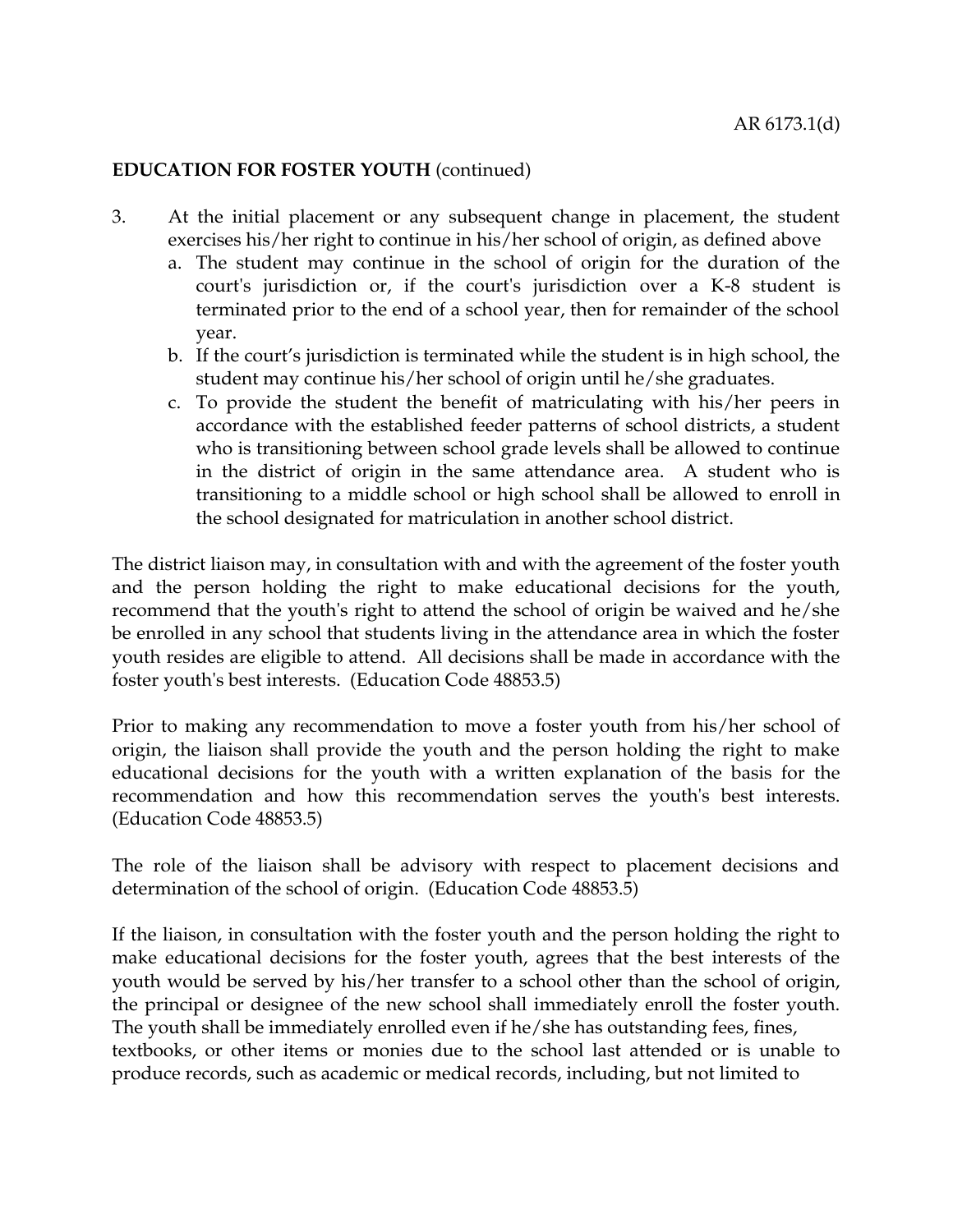- 3. At the initial placement or any subsequent change in placement, the student exercises his/her right to continue in his/her school of origin, as defined above
	- a. The student may continue in the school of origin for the duration of the court's jurisdiction or, if the court's jurisdiction over a K-8 student is terminated prior to the end of a school year, then for remainder of the school year.
	- b. If the court's jurisdiction is terminated while the student is in high school, the student may continue his/her school of origin until he/she graduates.
	- c. To provide the student the benefit of matriculating with his/her peers in accordance with the established feeder patterns of school districts, a student who is transitioning between school grade levels shall be allowed to continue in the district of origin in the same attendance area. A student who is transitioning to a middle school or high school shall be allowed to enroll in the school designated for matriculation in another school district.

The district liaison may, in consultation with and with the agreement of the foster youth and the person holding the right to make educational decisions for the youth, recommend that the youth's right to attend the school of origin be waived and he/she be enrolled in any school that students living in the attendance area in which the foster youth resides are eligible to attend. All decisions shall be made in accordance with the foster youth's best interests. (Education Code 48853.5)

Prior to making any recommendation to move a foster youth from his/her school of origin, the liaison shall provide the youth and the person holding the right to make educational decisions for the youth with a written explanation of the basis for the recommendation and how this recommendation serves the youth's best interests. (Education Code 48853.5)

The role of the liaison shall be advisory with respect to placement decisions and determination of the school of origin. (Education Code 48853.5)

If the liaison, in consultation with the foster youth and the person holding the right to make educational decisions for the foster youth, agrees that the best interests of the youth would be served by his/her transfer to a school other than the school of origin, the principal or designee of the new school shall immediately enroll the foster youth. The youth shall be immediately enrolled even if he/she has outstanding fees, fines, textbooks, or other items or monies due to the school last attended or is unable to produce records, such as academic or medical records, including, but not limited to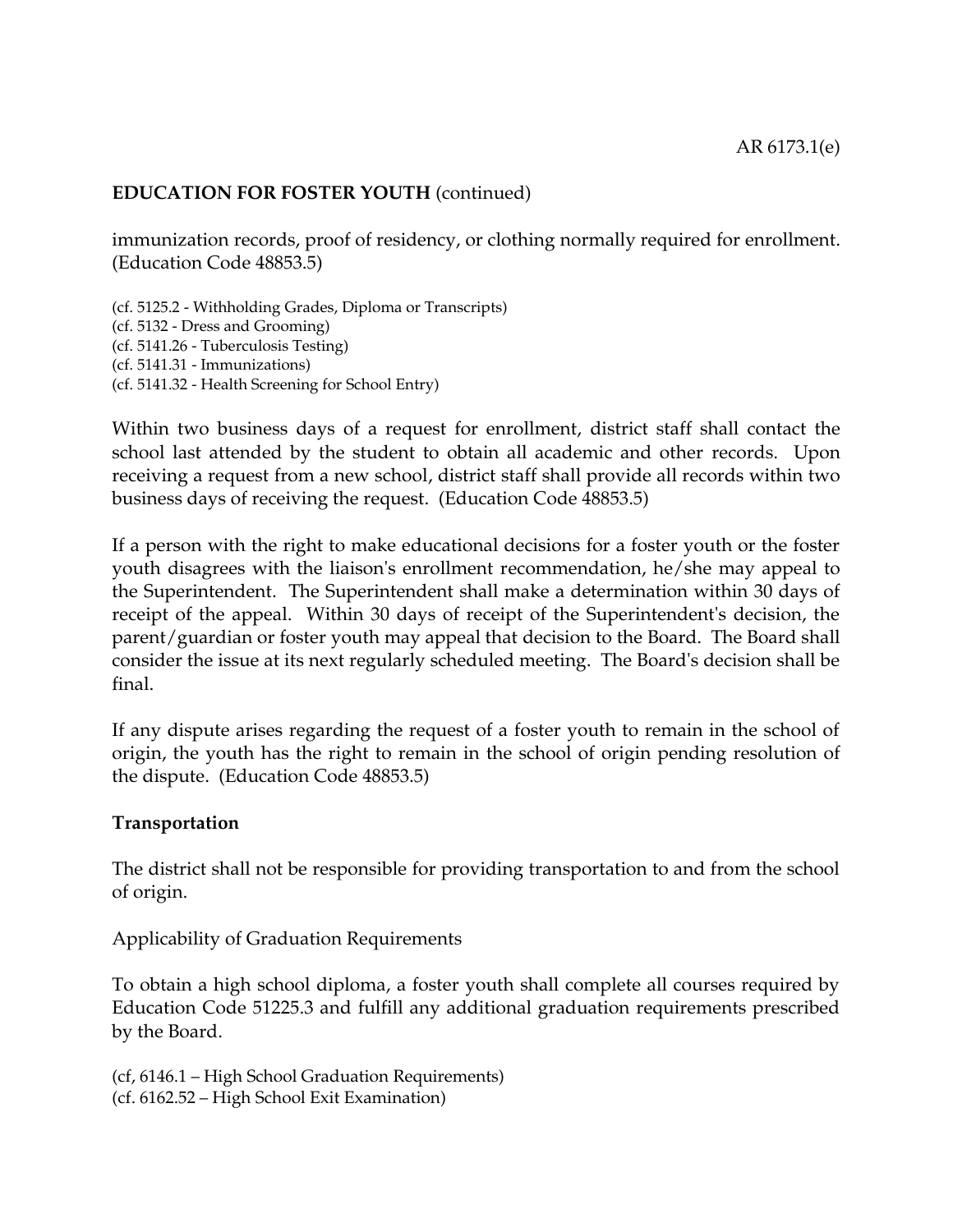immunization records, proof of residency, or clothing normally required for enrollment. (Education Code 48853.5)

(cf. 5125.2 - Withholding Grades, Diploma or Transcripts) (cf. 5132 - Dress and Grooming) (cf. 5141.26 - Tuberculosis Testing) (cf. 5141.31 - Immunizations) (cf. 5141.32 - Health Screening for School Entry)

Within two business days of a request for enrollment, district staff shall contact the school last attended by the student to obtain all academic and other records. Upon receiving a request from a new school, district staff shall provide all records within two business days of receiving the request. (Education Code 48853.5)

If a person with the right to make educational decisions for a foster youth or the foster youth disagrees with the liaison's enrollment recommendation, he/she may appeal to the Superintendent. The Superintendent shall make a determination within 30 days of receipt of the appeal. Within 30 days of receipt of the Superintendent's decision, the parent/guardian or foster youth may appeal that decision to the Board. The Board shall consider the issue at its next regularly scheduled meeting. The Board's decision shall be final.

If any dispute arises regarding the request of a foster youth to remain in the school of origin, the youth has the right to remain in the school of origin pending resolution of the dispute. (Education Code 48853.5)

#### **Transportation**

The district shall not be responsible for providing transportation to and from the school of origin.

Applicability of Graduation Requirements

To obtain a high school diploma, a foster youth shall complete all courses required by Education Code 51225.3 and fulfill any additional graduation requirements prescribed by the Board.

(cf, 6146.1 – High School Graduation Requirements) (cf. 6162.52 – High School Exit Examination)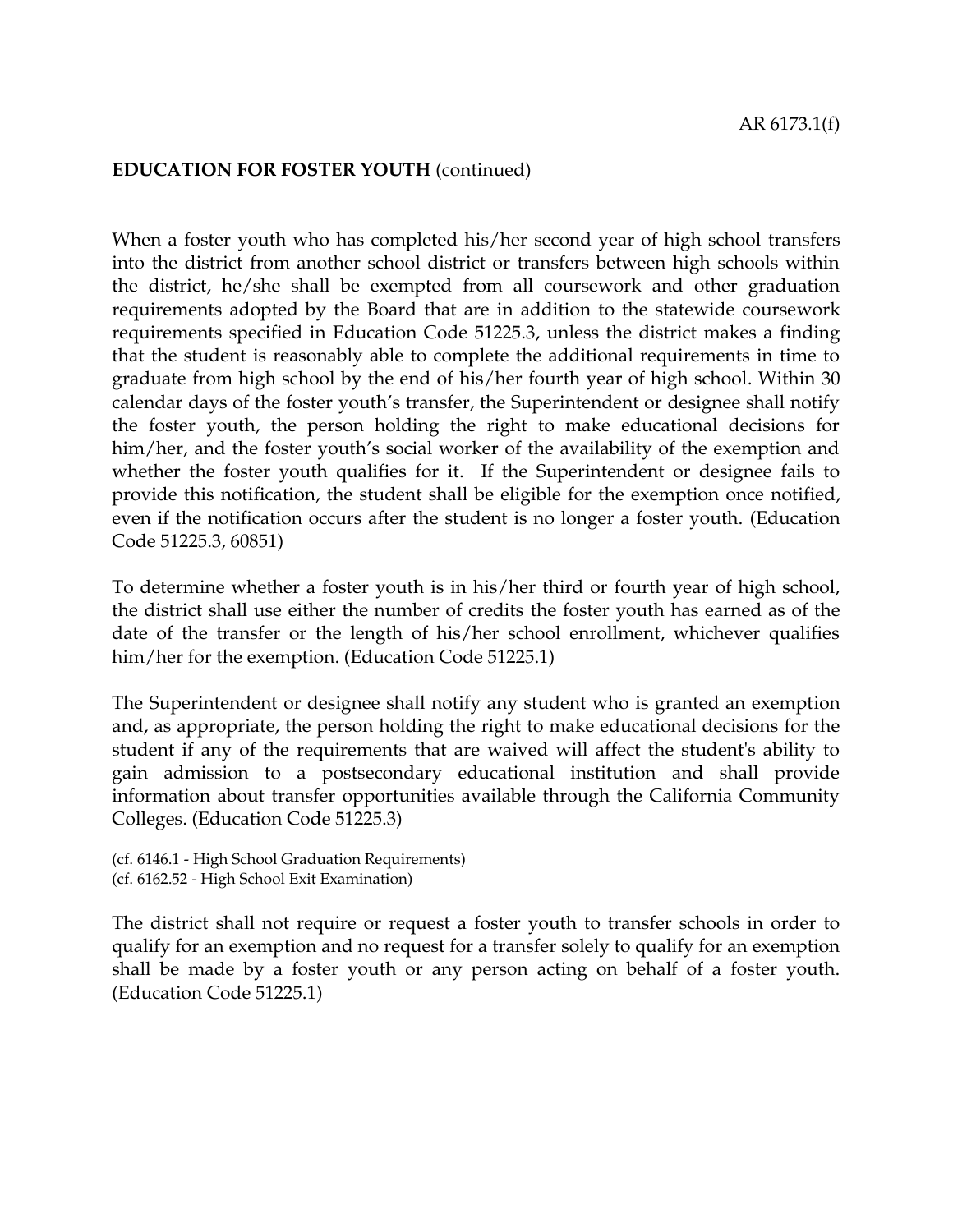When a foster youth who has completed his/her second year of high school transfers into the district from another school district or transfers between high schools within the district, he/she shall be exempted from all coursework and other graduation requirements adopted by the Board that are in addition to the statewide coursework requirements specified in Education Code 51225.3, unless the district makes a finding that the student is reasonably able to complete the additional requirements in time to graduate from high school by the end of his/her fourth year of high school. Within 30 calendar days of the foster youth's transfer, the Superintendent or designee shall notify the foster youth, the person holding the right to make educational decisions for him/her, and the foster youth's social worker of the availability of the exemption and whether the foster youth qualifies for it. If the Superintendent or designee fails to provide this notification, the student shall be eligible for the exemption once notified, even if the notification occurs after the student is no longer a foster youth. (Education Code 51225.3, 60851)

To determine whether a foster youth is in his/her third or fourth year of high school, the district shall use either the number of credits the foster youth has earned as of the date of the transfer or the length of his/her school enrollment, whichever qualifies him/her for the exemption. (Education Code 51225.1)

The Superintendent or designee shall notify any student who is granted an exemption and, as appropriate, the person holding the right to make educational decisions for the student if any of the requirements that are waived will affect the student's ability to gain admission to a postsecondary educational institution and shall provide information about transfer opportunities available through the California Community Colleges. (Education Code 51225.3)

```
(cf. 6146.1 - High School Graduation Requirements)
(cf. 6162.52 - High School Exit Examination)
```
The district shall not require or request a foster youth to transfer schools in order to qualify for an exemption and no request for a transfer solely to qualify for an exemption shall be made by a foster youth or any person acting on behalf of a foster youth. (Education Code 51225.1)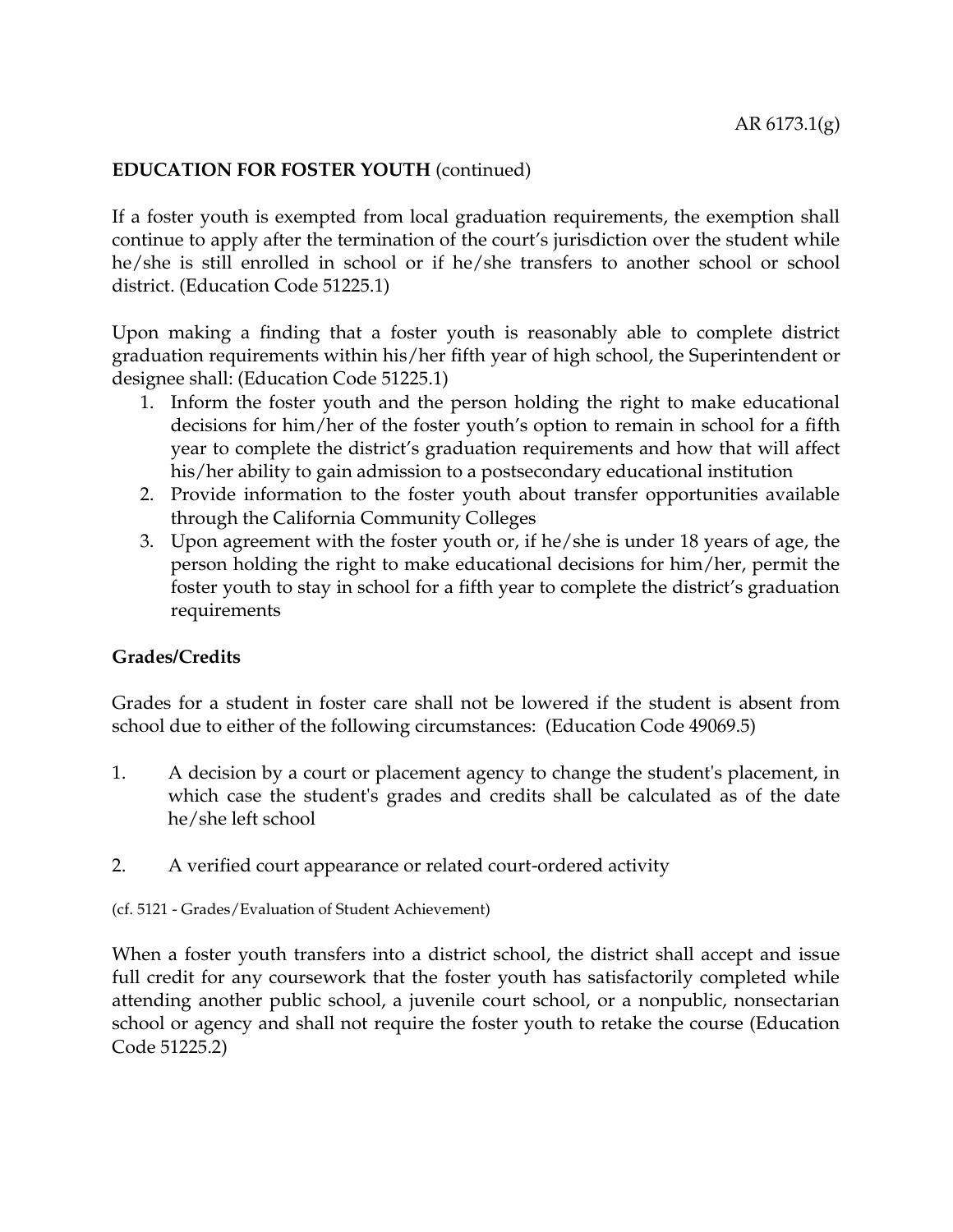If a foster youth is exempted from local graduation requirements, the exemption shall continue to apply after the termination of the court's jurisdiction over the student while he/she is still enrolled in school or if he/she transfers to another school or school district. (Education Code 51225.1)

Upon making a finding that a foster youth is reasonably able to complete district graduation requirements within his/her fifth year of high school, the Superintendent or designee shall: (Education Code 51225.1)

- 1. Inform the foster youth and the person holding the right to make educational decisions for him/her of the foster youth's option to remain in school for a fifth year to complete the district's graduation requirements and how that will affect his/her ability to gain admission to a postsecondary educational institution
- 2. Provide information to the foster youth about transfer opportunities available through the California Community Colleges
- 3. Upon agreement with the foster youth or, if he/she is under 18 years of age, the person holding the right to make educational decisions for him/her, permit the foster youth to stay in school for a fifth year to complete the district's graduation requirements

# **Grades/Credits**

Grades for a student in foster care shall not be lowered if the student is absent from school due to either of the following circumstances: (Education Code 49069.5)

- 1. A decision by a court or placement agency to change the student's placement, in which case the student's grades and credits shall be calculated as of the date he/she left school
- 2. A verified court appearance or related court-ordered activity

(cf. 5121 - Grades/Evaluation of Student Achievement)

When a foster youth transfers into a district school, the district shall accept and issue full credit for any coursework that the foster youth has satisfactorily completed while attending another public school, a juvenile court school, or a nonpublic, nonsectarian school or agency and shall not require the foster youth to retake the course (Education Code 51225.2)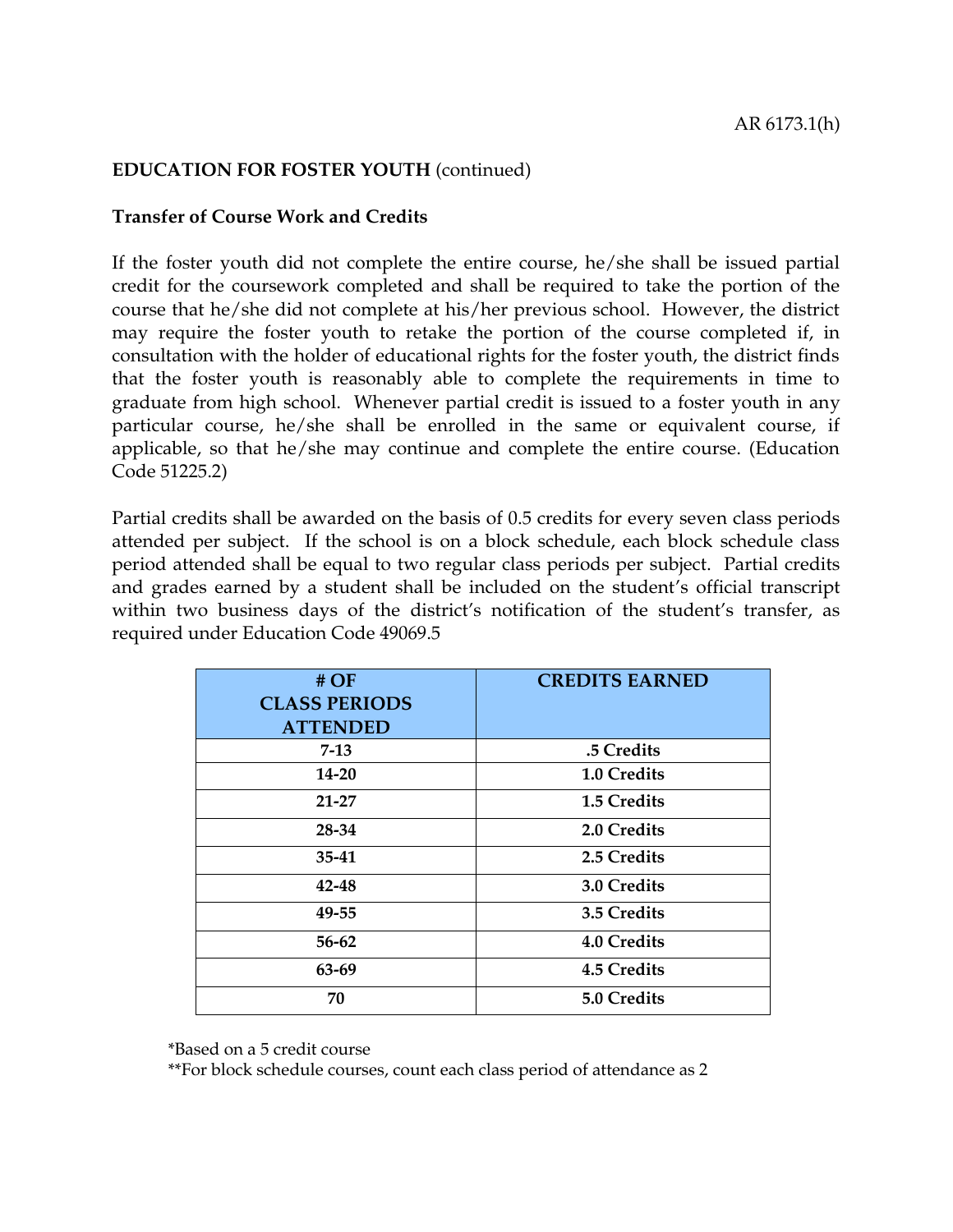#### **Transfer of Course Work and Credits**

If the foster youth did not complete the entire course, he/she shall be issued partial credit for the coursework completed and shall be required to take the portion of the course that he/she did not complete at his/her previous school. However, the district may require the foster youth to retake the portion of the course completed if, in consultation with the holder of educational rights for the foster youth, the district finds that the foster youth is reasonably able to complete the requirements in time to graduate from high school. Whenever partial credit is issued to a foster youth in any particular course, he/she shall be enrolled in the same or equivalent course, if applicable, so that he/she may continue and complete the entire course. (Education Code 51225.2)

Partial credits shall be awarded on the basis of 0.5 credits for every seven class periods attended per subject. If the school is on a block schedule, each block schedule class period attended shall be equal to two regular class periods per subject. Partial credits and grades earned by a student shall be included on the student's official transcript within two business days of the district's notification of the student's transfer, as required under Education Code 49069.5

| #OF<br><b>CLASS PERIODS</b><br><b>ATTENDED</b> | <b>CREDITS EARNED</b> |
|------------------------------------------------|-----------------------|
| $7 - 13$                                       | .5 Credits            |
| $14 - 20$                                      | 1.0 Credits           |
| 21-27                                          | 1.5 Credits           |
| 28-34                                          | 2.0 Credits           |
| 35-41                                          | 2.5 Credits           |
| 42-48                                          | 3.0 Credits           |
| 49-55                                          | 3.5 Credits           |
| 56-62                                          | 4.0 Credits           |
| 63-69                                          | 4.5 Credits           |
| 70                                             | 5.0 Credits           |

\*Based on a 5 credit course

\*\*For block schedule courses, count each class period of attendance as 2